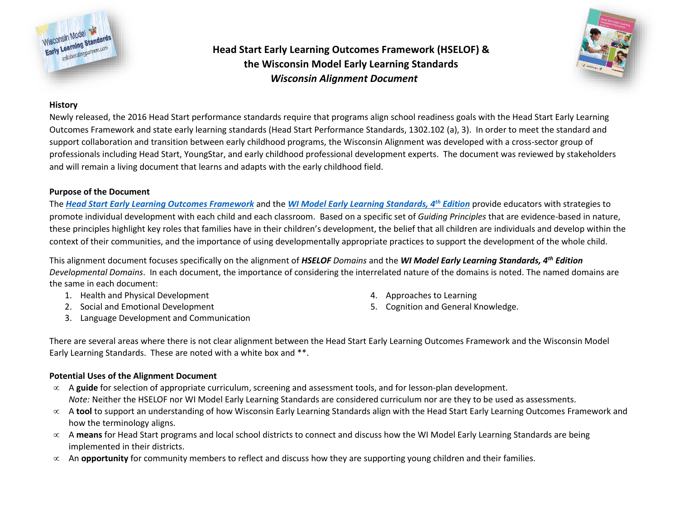

# **Head Start Early Learning Outcomes Framework (HSELOF) & the Wisconsin Model Early Learning Standards**  *Wisconsin Alignment Document*



## **History**

Newly released, the 2016 Head Start performance standards require that programs align school readiness goals with the Head Start Early Learning Outcomes Framework and state early learning standards (Head Start Performance Standards, 1302.102 (a), 3). In order to meet the standard and support collaboration and transition between early childhood programs, the Wisconsin Alignment was developed with a cross-sector group of professionals including Head Start, YoungStar, and early childhood professional development experts. The document was reviewed by stakeholders and will remain a living document that learns and adapts with the early childhood field.

## **Purpose of the Document**

The *[Head Start Early Learning Outcomes Framework](https://eclkc.ohs.acf.hhs.gov/hslc/hs/sr/approach/elof)* and the *[WI Model Early Learning Standards, 4](http://www.collaboratingpartners.com/wmels-about.php)th Edition* provide educators with strategies to promote individual development with each child and each classroom. Based on a specific set of *Guiding Principles* that are evidence-based in nature, these principles highlight key roles that families have in their children's development, the belief that all children are individuals and develop within the context of their communities, and the importance of using developmentally appropriate practices to support the development of the whole child.

This alignment document focuses specifically on the alignment of *HSELOF Domains* and the *WI Model Early Learning Standards, 4th Edition Developmental Domains*. In each document, the importance of considering the interrelated nature of the domains is noted. The named domains are the same in each document:

- 1. Health and Physical Development
- 2. Social and Emotional Development
- 3. Language Development and Communication
- 4. Approaches to Learning
- 5. Cognition and General Knowledge.

There are several areas where there is not clear alignment between the Head Start Early Learning Outcomes Framework and the Wisconsin Model Early Learning Standards. These are noted with a white box and \*\*.

## **Potential Uses of the Alignment Document**

- A **guide** for selection of appropriate curriculum, screening and assessment tools, and for lesson-plan development. *Note:* Neither the HSELOF nor WI Model Early Learning Standards are considered curriculum nor are they to be used as assessments.
- A **tool** to support an understanding of how Wisconsin Early Learning Standards align with the Head Start Early Learning Outcomes Framework and how the terminology aligns.
- A **means** for Head Start programs and local school districts to connect and discuss how the WI Model Early Learning Standards are being implemented in their districts.
- $\infty$  An **opportunity** for community members to reflect and discuss how they are supporting young children and their families.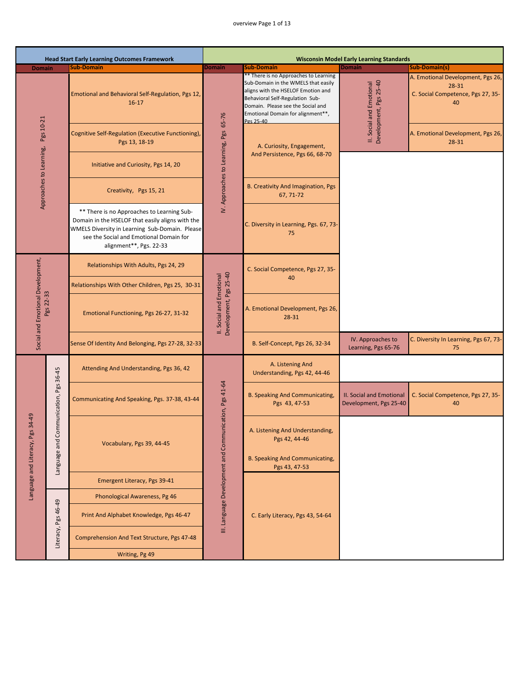## overview Page 1 of 13

|                                                |                          | <b>Head Start Early Learning Outcomes Framework</b>                                                                                                                                                                    |                                                        |                                                                                                                                                                                                                                              | <b>Wisconsin Model Early Learning Standards</b>           |                                                                                       |
|------------------------------------------------|--------------------------|------------------------------------------------------------------------------------------------------------------------------------------------------------------------------------------------------------------------|--------------------------------------------------------|----------------------------------------------------------------------------------------------------------------------------------------------------------------------------------------------------------------------------------------------|-----------------------------------------------------------|---------------------------------------------------------------------------------------|
| <b>Domain</b>                                  |                          | <b>Sub-Domain</b>                                                                                                                                                                                                      | <b>Domain</b>                                          | <b>Sub-Domain</b>                                                                                                                                                                                                                            | <b>Domain</b>                                             | <b>Sub-Domain(s)</b>                                                                  |
|                                                |                          | Emotional and Behavioral Self-Regulation, Pgs 12,<br>$16 - 17$                                                                                                                                                         | 65-76                                                  | ** There is no Approaches to Learning<br>Sub-Domain in the WMELS that easily<br>aligns with the HSELOF Emotion and<br>Behavioral Self-Regulation Sub-<br>Domain. Please see the Social and<br>Emotional Domain for alignment**,<br>Pgs 25-40 | Development, Pgs 25-40<br>II. Social and Emotional        | A. Emotional Development, Pgs 26,<br>28-31<br>C. Social Competence, Pgs 27, 35-<br>40 |
| Approaches to Learning, Pgs 10-21              |                          | Cognitive Self-Regulation (Executive Functioning),<br>Pgs 13, 18-19                                                                                                                                                    |                                                        | A. Curiosity, Engagement,                                                                                                                                                                                                                    |                                                           | A. Emotional Development, Pgs 26,<br>28-31                                            |
|                                                |                          | Initiative and Curiosity, Pgs 14, 20                                                                                                                                                                                   |                                                        | And Persistence, Pgs 66, 68-70                                                                                                                                                                                                               |                                                           |                                                                                       |
|                                                |                          | Creativity, Pgs 15, 21                                                                                                                                                                                                 | IV. Approaches to Learning, Pgs                        | <b>B. Creativity And Imagination, Pgs</b><br>67, 71-72                                                                                                                                                                                       |                                                           |                                                                                       |
|                                                |                          | ** There is no Approaches to Learning Sub-<br>Domain in the HSELOF that easily aligns with the<br>WMELS Diversity in Learning Sub-Domain. Please<br>see the Social and Emotional Domain for<br>alignment**, Pgs. 22-33 |                                                        | C. Diversity in Learning, Pgs. 67, 73-<br>75                                                                                                                                                                                                 |                                                           |                                                                                       |
|                                                |                          | Relationships With Adults, Pgs 24, 29                                                                                                                                                                                  |                                                        | C. Social Competence, Pgs 27, 35-                                                                                                                                                                                                            |                                                           |                                                                                       |
|                                                |                          | Relationships With Other Children, Pgs 25, 30-31                                                                                                                                                                       |                                                        | 40                                                                                                                                                                                                                                           |                                                           |                                                                                       |
| Social and Emotional Development,<br>Pgs 22-33 |                          | Emotional Functioning, Pgs 26-27, 31-32                                                                                                                                                                                | Development, Pgs 25-40<br>II. Social and Emotional     | A. Emotional Development, Pgs 26,<br>28-31                                                                                                                                                                                                   |                                                           |                                                                                       |
|                                                |                          | Sense Of Identity And Belonging, Pgs 27-28, 32-33                                                                                                                                                                      |                                                        | B. Self-Concept, Pgs 26, 32-34                                                                                                                                                                                                               | IV. Approaches to<br>Learning, Pgs 65-76                  | C. Diversity In Learning, Pgs 67, 73-<br>75                                           |
|                                                |                          | Attending And Understanding, Pgs 36, 42                                                                                                                                                                                |                                                        | A. Listening And<br>Understanding, Pgs 42, 44-46                                                                                                                                                                                             |                                                           |                                                                                       |
|                                                | Communication, Pgs 36-45 | Communicating And Speaking, Pgs. 37-38, 43-44                                                                                                                                                                          |                                                        | <b>B. Speaking And Communicating,</b><br>Pgs 43, 47-53                                                                                                                                                                                       | <b>II. Social and Emotional</b><br>Development, Pgs 25-40 | C. Social Competence, Pgs 27, 35-<br>40                                               |
| 34-49<br>Language and Literacy, Pgs            | Language and             | Vocabulary, Pgs 39, 44-45                                                                                                                                                                                              | III. Language Development and Communication, Pgs 41-64 | A. Listening And Understanding,<br>Pgs 42, 44-46<br><b>B. Speaking And Communicating,</b>                                                                                                                                                    |                                                           |                                                                                       |
|                                                |                          |                                                                                                                                                                                                                        |                                                        | Pgs 43, 47-53                                                                                                                                                                                                                                |                                                           |                                                                                       |
|                                                |                          | Emergent Literacy, Pgs 39-41                                                                                                                                                                                           |                                                        |                                                                                                                                                                                                                                              |                                                           |                                                                                       |
|                                                |                          | Phonological Awareness, Pg 46                                                                                                                                                                                          |                                                        |                                                                                                                                                                                                                                              |                                                           |                                                                                       |
|                                                | Literacy, Pgs 46-49      | Print And Alphabet Knowledge, Pgs 46-47                                                                                                                                                                                |                                                        | C. Early Literacy, Pgs 43, 54-64                                                                                                                                                                                                             |                                                           |                                                                                       |
|                                                |                          | Comprehension And Text Structure, Pgs 47-48                                                                                                                                                                            |                                                        |                                                                                                                                                                                                                                              |                                                           |                                                                                       |
|                                                |                          | Writing, Pg 49                                                                                                                                                                                                         |                                                        |                                                                                                                                                                                                                                              |                                                           |                                                                                       |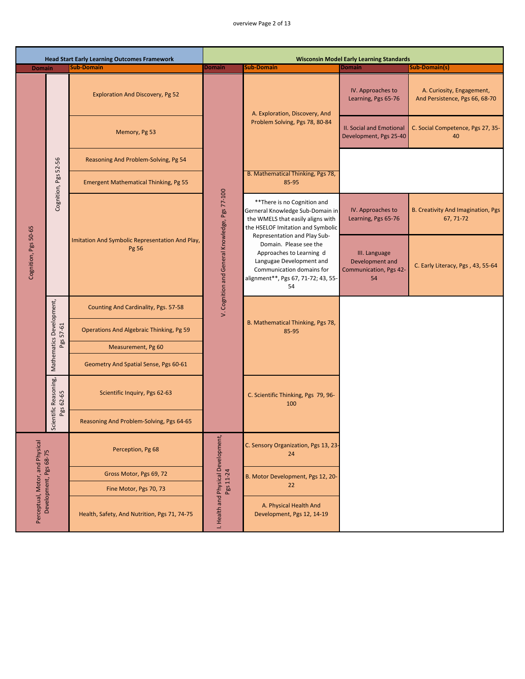## overview Page 2 of 13

|                                 |                                       | <b>Head Start Early Learning Outcomes Framework</b>      |                                                |                                                                                                                                                                                          | <b>Wisconsin Model Early Learning Standards</b>                         |                                                             |
|---------------------------------|---------------------------------------|----------------------------------------------------------|------------------------------------------------|------------------------------------------------------------------------------------------------------------------------------------------------------------------------------------------|-------------------------------------------------------------------------|-------------------------------------------------------------|
| <b>Domain</b>                   |                                       | <b>Sub-Domain</b>                                        | <b>Domain</b>                                  | <b>Sub-Domain</b>                                                                                                                                                                        | <b>Domain</b>                                                           | <b>Sub-Domain(s)</b>                                        |
|                                 |                                       | <b>Exploration And Discovery, Pg 52</b>                  |                                                | A. Exploration, Discovery, And                                                                                                                                                           | IV. Approaches to<br>Learning, Pgs 65-76                                | A. Curiosity, Engagement,<br>And Persistence, Pgs 66, 68-70 |
|                                 |                                       | Memory, Pg 53                                            |                                                | Problem Solving, Pgs 78, 80-84                                                                                                                                                           | <b>II. Social and Emotional</b><br>Development, Pgs 25-40               | C. Social Competence, Pgs 27, 35-<br>40                     |
|                                 | 52-56                                 | Reasoning And Problem-Solving, Pg 54                     |                                                |                                                                                                                                                                                          |                                                                         |                                                             |
|                                 | Cognition, Pgs                        | <b>Emergent Mathematical Thinking, Pg 55</b>             |                                                | B. Mathematical Thinking, Pgs 78,<br>85-95                                                                                                                                               |                                                                         |                                                             |
|                                 |                                       |                                                          |                                                | ** There is no Cognition and<br>Gerneral Knowledge Sub-Domain in<br>the WMELS that easily aligns with<br>the HSELOF Imitation and Symbolic                                               | IV. Approaches to<br>Learning, Pgs 65-76                                | <b>B. Creativity And Imagination, Pgs</b><br>67, 71-72      |
| Cognition, Pgs 50-65            |                                       | Imitation And Symbolic Representation And Play,<br>Pg 56 | V. Cognition and General Knowledge, Pgs 77-100 | Representation and Play Sub-<br>Domain. Please see the<br>Approaches to Learning d<br>Langugae Development and<br>Communication domains for<br>alignment**, Pgs 67, 71-72; 43, 55-<br>54 | III. Language<br>Development and<br><b>Communication, Pgs 42-</b><br>54 | C. Early Literacy, Pgs, 43, 55-64                           |
|                                 |                                       | Counting And Cardinality, Pgs. 57-58                     |                                                |                                                                                                                                                                                          |                                                                         |                                                             |
|                                 | Mathematics Development,<br>Pgs 57-61 | Operations And Algebraic Thinking, Pg 59                 |                                                | B. Mathematical Thinking, Pgs 78,<br>85-95                                                                                                                                               |                                                                         |                                                             |
|                                 |                                       | Measurement, Pg 60                                       |                                                |                                                                                                                                                                                          |                                                                         |                                                             |
|                                 |                                       | Geometry And Spatial Sense, Pgs 60-61                    |                                                |                                                                                                                                                                                          |                                                                         |                                                             |
|                                 | Scientific Reasoning,<br>Pgs 62-65    | Scientific Inquiry, Pgs 62-63                            |                                                | C. Scientific Thinking, Pgs 79, 96-<br>100                                                                                                                                               |                                                                         |                                                             |
|                                 |                                       | Reasoning And Problem-Solving, Pgs 64-65                 |                                                |                                                                                                                                                                                          |                                                                         |                                                             |
|                                 |                                       | Perception, Pg 68                                        |                                                | C. Sensory Organization, Pgs 13, 23-<br>24                                                                                                                                               |                                                                         |                                                             |
|                                 |                                       | Gross Motor, Pgs 69, 72                                  |                                                | B. Motor Development, Pgs 12, 20-                                                                                                                                                        |                                                                         |                                                             |
|                                 | Development, Pgs 68-75                | Fine Motor, Pgs 70, 73                                   | Pgs 11-24                                      | 22                                                                                                                                                                                       |                                                                         |                                                             |
| Perceptual, Motor, and Physical |                                       | Health, Safety, And Nutrition, Pgs 71, 74-75             | I. Health and Physical Development,            | A. Physical Health And<br>Development, Pgs 12, 14-19                                                                                                                                     |                                                                         |                                                             |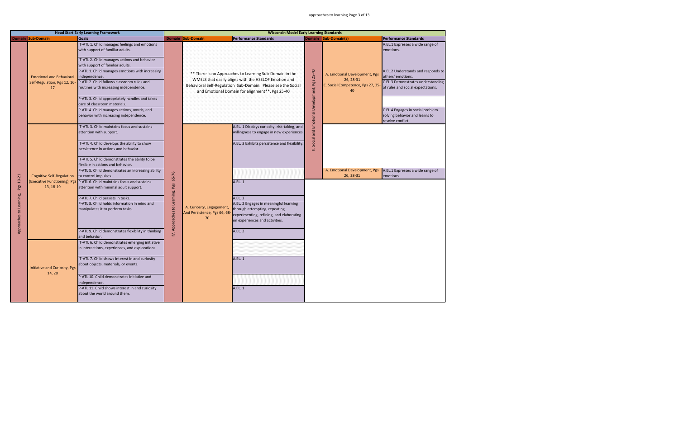|                                      |                                                                                                                | <b>Head Start Early Learning Framework</b>                                                                                                                                                                                                                                                                                                                                                                                                                                                                                                                                                                                                                                                                                                                                                                                     |                                                 |                                                                | <b>Wisconsin Model Early Learning Standards</b>                                                                                                                                                                                                                                                                                                  |                                             |                                                                                      |                                                                                                                                                                                                                                                                               |
|--------------------------------------|----------------------------------------------------------------------------------------------------------------|--------------------------------------------------------------------------------------------------------------------------------------------------------------------------------------------------------------------------------------------------------------------------------------------------------------------------------------------------------------------------------------------------------------------------------------------------------------------------------------------------------------------------------------------------------------------------------------------------------------------------------------------------------------------------------------------------------------------------------------------------------------------------------------------------------------------------------|-------------------------------------------------|----------------------------------------------------------------|--------------------------------------------------------------------------------------------------------------------------------------------------------------------------------------------------------------------------------------------------------------------------------------------------------------------------------------------------|---------------------------------------------|--------------------------------------------------------------------------------------|-------------------------------------------------------------------------------------------------------------------------------------------------------------------------------------------------------------------------------------------------------------------------------|
|                                      | Domain Sub-Domain                                                                                              | <b>Goals</b>                                                                                                                                                                                                                                                                                                                                                                                                                                                                                                                                                                                                                                                                                                                                                                                                                   |                                                 | Domain Sub-Domain                                              | <b>Performance Standards</b>                                                                                                                                                                                                                                                                                                                     |                                             | Domain Sub-Domain(s)                                                                 | <b>Performance Standards</b>                                                                                                                                                                                                                                                  |
|                                      | <b>Emotional and Behavioral</b><br>Self-Regulation, Pgs 12, 16-<br>17                                          | IT-ATL 1. Child manages feelings and emotions<br>with support of familiar adults.<br>IT-ATL 2. Child manages actions and behavior<br>with support of familiar adults.<br>P-ATL 1. Child manages emotions with increasing<br>independence.<br>P-ATL 2. Child follows classroom rules and<br>routines with increasing independence.<br>P-ATL 3. Child appropriately handles and takes<br>care of classroom materials.<br>P-ATL 4. Child manages actions, words, and<br>behavior with increasing independence.                                                                                                                                                                                                                                                                                                                    |                                                 |                                                                | ** There is no Approaches to Learning Sub-Domain in the<br>WMELS that easily aligns with the HSELOF Emotion and<br>Behavioral Self-Regulation Sub-Domain. Please see the Social<br>and Emotional Domain for alignment**, Pgs 25-40                                                                                                               | Social and Emotional Development, Pgs 25-40 | A. Emotional Development, Pgs<br>26, 28-31<br>C. Social Competence, Pgs 27, 35<br>40 | A.EL.1 Expresses a wide range of<br>emotions.<br>A.EL.2 Understands and responds to<br>others' emotions.<br>C.EL.3 Demonstrates understanding<br>of rules and social expectations.<br>C.EL.4 Engages in social problem<br>solving behavior and learns to<br>resolve conflict. |
| Pgs 10-21<br>Approaches to Learning, | <b>Cognitive Self-Regulation</b><br>(Executive Functioning), Pgs<br>13, 18-19<br>Initiative and Curiosity, Pgs | IT-ATL 3. Child maintains focus and sustains<br>attention with support.<br>IT-ATL 4. Child develops the ability to show<br>persistence in actions and behavior.<br>IT-ATL 5. Child demonstrates the ability to be<br>flexible in actions and behavior.<br>P-ATL 5. Child demonstrates an increasing ability<br>to control impulses.<br>P-ATL 6. Child maintains focus and sustains<br>attention with minimal adult support.<br>P-ATL 7. Child persists in tasks.<br>P-ATL 8. Child holds information in mind and<br>manipulates it to perform tasks.<br>P-ATL 9. Child demonstrates flexibility in thinking<br>and behavior.<br>IT-ATL 6. Child demonstrates emerging initiative<br>in interactions, experiences, and explorations.<br>IT-ATL 7. Child shows interest in and curiosity<br>about objects, materials, or events. | 65-76<br><b>IV. Approaches to Learning, Pgs</b> | A. Curiosity, Engagement,<br>And Persistence, Pgs 66, 68<br>70 | A.EL. 1 Displays curiosity, risk-taking, and<br>willingness to engage in new experiences.<br>A.EL. 3 Exhibits persistence and flexibility.<br>A.EL. 1<br>A.EL. 3<br>A.EL. 2 Engages in meaningful learning<br>through attempting, repeating,<br>experimenting, refining, and elaborating<br>on experiences and activities.<br>A.EL. 2<br>A.EL. 1 | Ξ                                           | A. Emotional Development, Pgs<br>26, 28-31                                           | A.EL.1 Expresses a wide range of<br>emotions.                                                                                                                                                                                                                                 |
|                                      | 14, 20                                                                                                         | P-ATL 10. Child demonstrates initiative and<br>independence.<br>P-ATL 11. Child shows interest in and curiosity<br>about the world around them.                                                                                                                                                                                                                                                                                                                                                                                                                                                                                                                                                                                                                                                                                |                                                 |                                                                | A.EL. 1                                                                                                                                                                                                                                                                                                                                          |                                             |                                                                                      |                                                                                                                                                                                                                                                                               |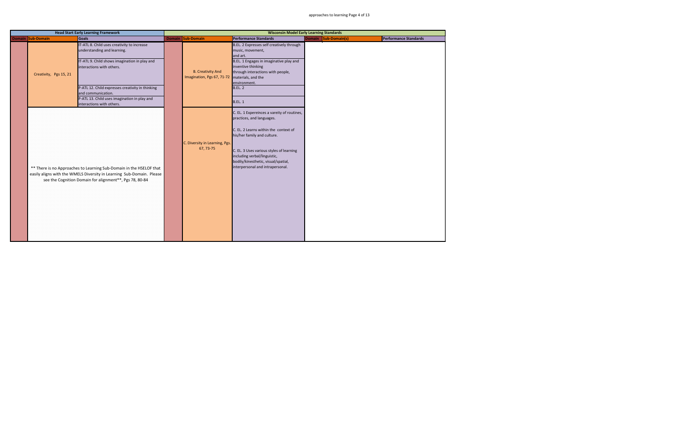|                        | <b>Head Start Early Learning Framework</b>                                                                                                                                                              |                                                        |                                                                                                                                                                                                                                                                                                         | <b>Wisconsin Model Early Learning Standards</b> |                              |
|------------------------|---------------------------------------------------------------------------------------------------------------------------------------------------------------------------------------------------------|--------------------------------------------------------|---------------------------------------------------------------------------------------------------------------------------------------------------------------------------------------------------------------------------------------------------------------------------------------------------------|-------------------------------------------------|------------------------------|
| Domain Sub-Domain      | <b>Goals</b>                                                                                                                                                                                            | Domain Sub-Domain                                      | <b>Performance Standards</b>                                                                                                                                                                                                                                                                            | Domain Sub-Domain(s)                            | <b>Performance Standards</b> |
| Creativity, Pgs 15, 21 | IT-ATL 8. Child uses creativity to increase<br>understanding and learning.<br>IT-ATL 9. Child shows imagination in play and<br>interactions with others.                                                | <b>B. Creativity And</b><br>Imagination, Pgs 67, 71-72 | B.EL. 2 Expresses self creatively through<br>music, movement,<br>and art.<br>B.EL. 1 Engages in imaginative play and<br>inventive thinking<br>through interactions with people,<br>materials, and the                                                                                                   |                                                 |                              |
|                        | P-ATL 12. Child expresses creativity in thinking<br>and communication.<br>P-ATL 13. Child uses imagination in play and<br>interactions with others.                                                     |                                                        | environment.<br><b>B.EL. 2</b><br><b>B.EL. 1</b>                                                                                                                                                                                                                                                        |                                                 |                              |
|                        | ** There is no Approaches to Learning Sub-Domain in the HSELOF that<br>easily aligns with the WMELS Diversity in Learning Sub-Domain. Please<br>see the Cognition Domain for alignment**, Pgs 78, 80-84 | C. Diversity in Learning, Pgs.<br>67, 73-75            | C. EL. 1 Expereinces a vareity of routines,<br>practices, and languages.<br>C. EL. 2 Learns within the context of<br>his/her family and culture.<br>C. EL. 3 Uses various styles of learning<br>including verbal/linguistic,<br>bodily/kinesthetic, visual/spatial,<br>interpersonal and intrapersonal. |                                                 |                              |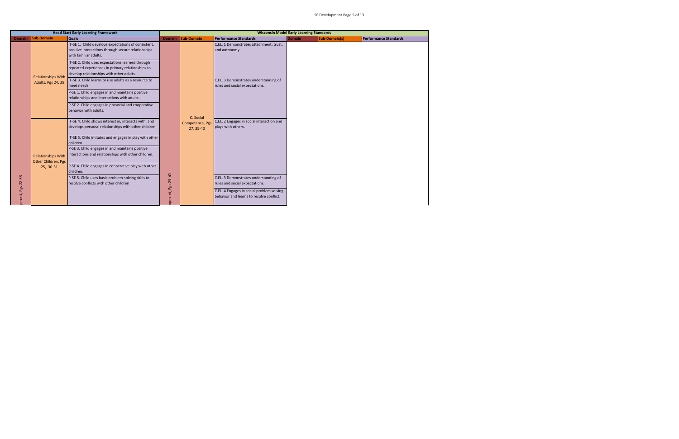|                  |                                                  | <b>Head Start Early Learning Framework</b>                                                                                                       |                  |                              | <b>Wisconsin Model Early Learning Standards</b>                                       |        |               |                              |
|------------------|--------------------------------------------------|--------------------------------------------------------------------------------------------------------------------------------------------------|------------------|------------------------------|---------------------------------------------------------------------------------------|--------|---------------|------------------------------|
|                  | Domain Sub-Domain                                | Goals                                                                                                                                            |                  | Domain Sub-Domain            | <b>Performance Standards</b>                                                          | Domain | Sub-Domain(s) | <b>Performance Standards</b> |
|                  |                                                  | IT-SE 1. Child develops expectations of consistent,<br>positive interactions through secure relationships<br>with familiar adults.               |                  |                              | C.EL. 1 Demonstrates attachment, trust,<br>and autonomy.                              |        |               |                              |
|                  | <b>Relationships With</b>                        | IT-SE 2. Child uses expectations learned through<br>repeated experiences in primary relationships to<br>develop relationships with other adults. |                  |                              |                                                                                       |        |               |                              |
|                  | Adults, Pgs 24, 29                               | IT-SE 3. Child learns to use adults as a resource to<br>meet needs.                                                                              |                  |                              | C.EL. 3 Demonstrates understanding of<br>rules and social expectations.               |        |               |                              |
|                  |                                                  | P-SE 1. Child engages in and maintains positive<br>relationships and interactions with adults.                                                   |                  |                              |                                                                                       |        |               |                              |
|                  |                                                  | P-SE 2. Child engages in prosocial and cooperative<br>behavior with adults.                                                                      |                  | C. Social                    |                                                                                       |        |               |                              |
|                  |                                                  | IT-SE 4. Child shows interest in, interacts with, and<br>develops personal relationships with other children.                                    |                  | Competence, Pgs<br>27, 35-40 | C.EL. 2 Engages in social interaction and<br>plays with others.                       |        |               |                              |
|                  |                                                  | IT-SE 5. Child imitates and engages in play with other<br>children.                                                                              |                  |                              |                                                                                       |        |               |                              |
|                  | <b>Relationships With</b><br>Other Children, Pgs | P-SE 3. Child engages in and maintains positive<br>interactions and relationships with other children.                                           |                  |                              |                                                                                       |        |               |                              |
|                  | 25, 30-31                                        | P-SE 4. Child engages in cooperative play with other<br>children.                                                                                |                  |                              |                                                                                       |        |               |                              |
|                  |                                                  | P-SE 5. Child uses basic problem-solving skills to<br>resolve conflicts with other children                                                      |                  |                              | C.EL. 3 Demonstrates understanding of<br>rules and social expectations.               |        |               |                              |
| oment, Pgs 22-33 |                                                  |                                                                                                                                                  | pment, Pgs 25-40 |                              | C.EL. 4 Engages in social problem solving<br>behavior and learns to resolve conflict. |        |               |                              |
|                  |                                                  |                                                                                                                                                  |                  |                              |                                                                                       |        |               |                              |
|                  |                                                  |                                                                                                                                                  |                  |                              |                                                                                       |        |               |                              |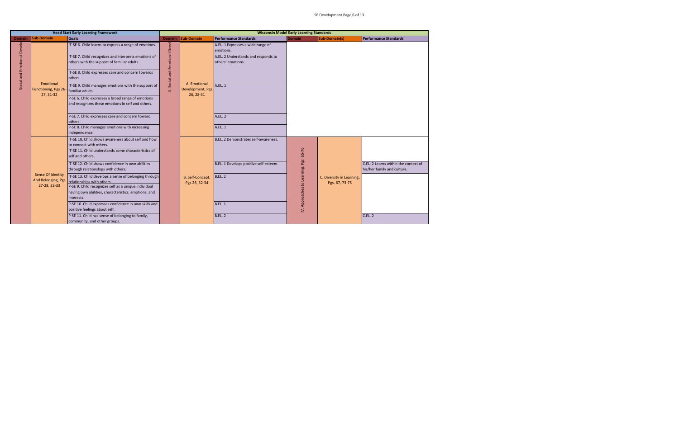|                             |                                                         | <b>Head Start Early Learning Framework</b>                                                                                                                                                                                                                                                                                                                                                                                                                                                                                                                                                                                                                                                                              |                                 |                                               |                                                                                                                                                 | <b>Wisconsin Model Early Learning Standards</b> |                                             |                                                                               |
|-----------------------------|---------------------------------------------------------|-------------------------------------------------------------------------------------------------------------------------------------------------------------------------------------------------------------------------------------------------------------------------------------------------------------------------------------------------------------------------------------------------------------------------------------------------------------------------------------------------------------------------------------------------------------------------------------------------------------------------------------------------------------------------------------------------------------------------|---------------------------------|-----------------------------------------------|-------------------------------------------------------------------------------------------------------------------------------------------------|-------------------------------------------------|---------------------------------------------|-------------------------------------------------------------------------------|
|                             | Domain Sub-Domain                                       | Goals                                                                                                                                                                                                                                                                                                                                                                                                                                                                                                                                                                                                                                                                                                                   | <b>Domain</b>                   | Sub-Domain                                    | <b>Performance Standards</b>                                                                                                                    | <b>Domain</b>                                   | Sub-Domain(s)                               | <b>Performance Standards</b>                                                  |
| Social and Emotional Develo | Emotional<br>Functioning, Pgs 26-<br>27, 31-32          | IT-SE 6. Child learns to express a range of emotions.<br>IT-SE 7. Child recognizes and interprets emotions of<br>others with the support of familiar adults.<br>IT-SE 8. Child expresses care and concern towards<br>others.<br>IT-SE 9. Child manages emotions with the support of<br>familiar adults.<br>P-SE 6. Child expresses a broad range of emotions<br>and recognizes these emotions in self and others.<br>P-SE 7. Child expresses care and concern toward<br>others.                                                                                                                                                                                                                                         | Social and Emotional Devel<br>Ξ | A. Emotional<br>Development, Pgs<br>26, 28-31 | A.EL. 1 Expresses a wide range of<br>emotions.<br>A.EL. 2 Understands and responds to<br>others' emotions.<br>A.EL. 1<br><b>A.EL. 2</b>         |                                                 |                                             |                                                                               |
|                             | Sense Of Identity<br>And Belonging, Pgs<br>27-28, 32-33 | P-SE 8. Child manages emotions with increasing<br>ndependence.<br>IT-SE 10. Child shows awareness about self and how<br>to connect with others.<br>IT-SE 11. Child understands some characteristics of<br>self and others.<br>IT-SE 12. Child shows confidence in own abilities<br>through relationships with others.<br>IT-SE 13. Child develops a sense of belonging through<br>relationships with others.<br>P-SE 9. Child recognizes self as a unique individual<br>having own abilities, characteristics, emotions, and<br>nterests.<br>P-SE 10. Child expresses confidence in own skills and<br>positive feelings about self.<br>P-SE 11. Child has sense of belonging to family,<br>community, and other groups. |                                 | B. Self-Concept,<br>Pgs 26, 32-34             | A.EL. 1<br>B.EL. 2 Demonstrates self-awareness.<br>B.EL. 1 Develops positive self-esteem.<br><b>B.EL. 2</b><br><b>B.EL. 1</b><br><b>B.EL. 2</b> | IV. Approaches to Learning, Pgs 65-76           | C. Diversity in Learning,<br>Pgs. 67, 73-75 | C.EL. 2 Learns within the context of<br>his/her family and culture.<br>C.EL.2 |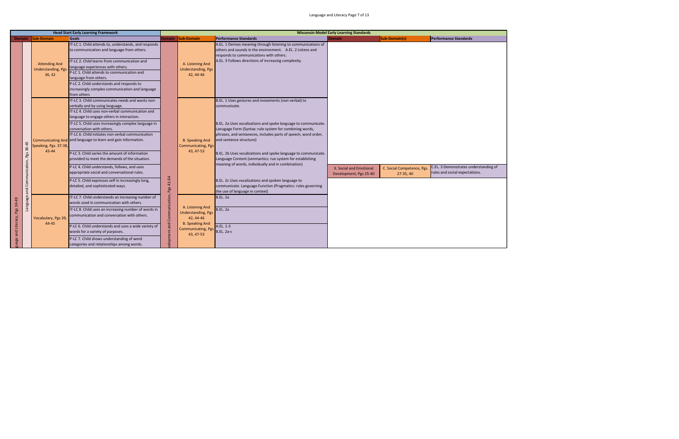|                                                | <b>Head Start Early Learning Framework</b><br><b>Goals</b><br>Domain Sub-Domain |                                                                                                                                                                                                                                                                                                                                                                                                                                                                                                                                                                                                                                                                                                |                                       |                                                                                                                               |                                                                                                                                                                                                                                                                                                                                                                                                                                                                                                                                                                                                                                            | <b>Wisconsin Model Early Learning Standards</b>           |                                         |                                                                         |
|------------------------------------------------|---------------------------------------------------------------------------------|------------------------------------------------------------------------------------------------------------------------------------------------------------------------------------------------------------------------------------------------------------------------------------------------------------------------------------------------------------------------------------------------------------------------------------------------------------------------------------------------------------------------------------------------------------------------------------------------------------------------------------------------------------------------------------------------|---------------------------------------|-------------------------------------------------------------------------------------------------------------------------------|--------------------------------------------------------------------------------------------------------------------------------------------------------------------------------------------------------------------------------------------------------------------------------------------------------------------------------------------------------------------------------------------------------------------------------------------------------------------------------------------------------------------------------------------------------------------------------------------------------------------------------------------|-----------------------------------------------------------|-----------------------------------------|-------------------------------------------------------------------------|
|                                                |                                                                                 |                                                                                                                                                                                                                                                                                                                                                                                                                                                                                                                                                                                                                                                                                                |                                       | Domain Sub-Domain                                                                                                             | <b>Performance Standards</b>                                                                                                                                                                                                                                                                                                                                                                                                                                                                                                                                                                                                               | <b>Domain</b>                                             | Sub-Domain(s)                           | <b>Performance Standards</b>                                            |
|                                                | <b>Attending And</b><br><b>Understanding, Pgs</b><br>36, 42                     | IT-LC 1. Child attends to, understands, and responds<br>to communication and language from others.<br>IT-LC 2. Child learns from communication and<br>language experiences with others.<br>P-LC 1. Child attends to communication and<br>language from others.<br>P-LC 2. Child understands and responds to<br>increasingly complex communication and language<br>from others                                                                                                                                                                                                                                                                                                                  |                                       | A. Listening And<br><b>Understanding, Pgs</b><br>42, 44-46                                                                    | A.EL. 1 Derives meaning through listening to communications of<br>others and sounds in the environment. A.EL. 2 Listens and<br>responds to communications with others.<br>A.EL. 3 Follows directions of increasing complexity.                                                                                                                                                                                                                                                                                                                                                                                                             |                                                           |                                         |                                                                         |
| 36-45<br>Pgs<br>Communication,<br>and          | Speaking, Pgs. 37-38,<br>$43 - 44$                                              | IT-LC 3. Child communicates needs and wants non-<br>verbally and by using language.<br>IT-LC 4. Child uses non-verbal communication and<br>language to engage others in interaction.<br>IT-LC 5. Child uses increasingly complex language in<br>conversation with others.<br>IT-LC 6. Child initiates non-verbal communication<br>Communicating And and language to learn and gain information.<br>P-LC 3. Child varies the amount of information<br>provided to meet the demands of the situation.<br>P-LC 4. Child understands, follows, and uses<br>appropriate social and conversational rules.<br>P-LC 5. Child expresses self in increasingly long,<br>detailed, and sophisticated ways. |                                       | <b>B. Speaking And</b><br>Communicating, Pgs<br>43, 47-53                                                                     | B.EL. 1 Uses gestures and movements (non-verbal) to<br>communicate.<br>B.EL. 2a Uses vocalizations and spoke language to communicate.<br>Lanugage Form (Syntax: rule system for combining words,<br>phrases, and sentaneces, includes parts of speech, word order,<br>and sentence structure)<br>B.EL. 2b Uses vocalizations and spoke language to communicate.<br>Language Content (senmantics: rue system for establishing<br>meaning of words, individually and in combination)<br>B.EL. 2c Uses vocalizations and spoken language to<br>communicate. Language Function (Pragmatics: rules governing<br>the use of language in context) | <b>II. Social and Emotional</b><br>Development, Pgs 25-40 | C. Social Competence, Pgs.<br>27-35, 40 | C.EL. 3 Demonstrates understanding of<br>rules and social expectations. |
| Language<br>Pgs 34-49<br>and Literacy,<br>uage | Vocabulary, Pgs 39,<br>44-45                                                    | IT-LC 7. Child understands an increasing number of<br>words used in communication with others.<br>IT-LC 8. Child uses an increasing number of words in<br>communication and conversation with others.<br>P-LC 6. Child understands and uses a wide variety of<br>words for a variety of purposes.<br>P-LC 7. Child shows understanding of word<br>categories and relationships among words.                                                                                                                                                                                                                                                                                                    | elopment and Communication, Pgs 41-64 | A. Listening And<br><b>Understanding, Pgs</b><br>42.44-46<br><b>B. Speaking And</b><br><b>Communicating, Pgs</b><br>43, 47-53 | <b>B.EL. 2a</b><br><b>B.EL. 2a</b><br>A.EL. 1-3<br><b>B.EL. 2a-c</b>                                                                                                                                                                                                                                                                                                                                                                                                                                                                                                                                                                       |                                                           |                                         |                                                                         |
|                                                |                                                                                 |                                                                                                                                                                                                                                                                                                                                                                                                                                                                                                                                                                                                                                                                                                |                                       |                                                                                                                               |                                                                                                                                                                                                                                                                                                                                                                                                                                                                                                                                                                                                                                            |                                                           |                                         |                                                                         |

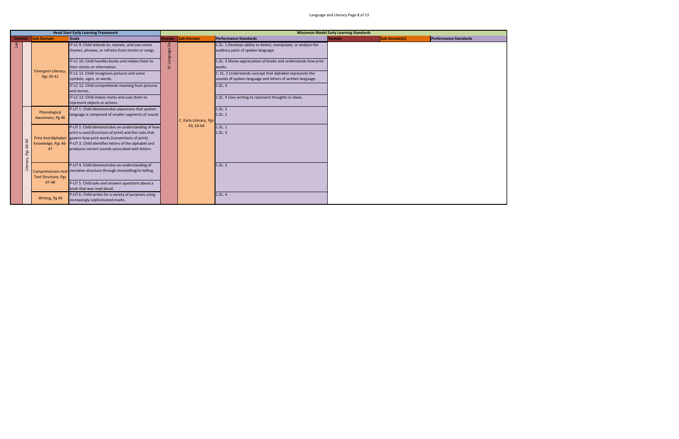|           |                                        | <b>Head Start Early Learning Framework</b>                                                                                                                                                                                                                                                                       |             |                        |                                                                                                                         | <b>Wisconsin Model Early Learning Standards</b> |               |                       |
|-----------|----------------------------------------|------------------------------------------------------------------------------------------------------------------------------------------------------------------------------------------------------------------------------------------------------------------------------------------------------------------|-------------|------------------------|-------------------------------------------------------------------------------------------------------------------------|-------------------------------------------------|---------------|-----------------------|
|           | Domain Sub-Domain                      | <b>Goals</b>                                                                                                                                                                                                                                                                                                     |             | Domain Sub-Domain      | Performance Standards                                                                                                   | <b>Domain</b>                                   | Sub-Domain(s) | Performance Standards |
|           |                                        | IT-LC 9. Child attends to, repeats, and uses some<br>rhymes, phrases, or refrains from stories or songs.                                                                                                                                                                                                         | Language De |                        | C.EL. 1 Develops ability to detect, manipulate, or analyze the<br>auditory parts of spoken language.                    |                                                 |               |                       |
|           |                                        | IT-LC 10. Child handles books and relates them to<br>their stories or information.                                                                                                                                                                                                                               | Ξ           |                        | C.EL. 3 Shows appreciation of books and understands how print<br>works.                                                 |                                                 |               |                       |
|           | <b>Emergent Literacy,</b><br>Pgs 39-41 | IT-LC 11. Child recognizes pictures and some<br>symbols, signs, or words.                                                                                                                                                                                                                                        |             |                        | C. EL. 2 Understands concept that alphabet represents the<br>sounds of spoken language and letters of written language. |                                                 |               |                       |
|           |                                        | IT-LC 12. Child comprehends meaning from pictures<br>and stories.<br>IT-LC 13. Child makes marks and uses them to                                                                                                                                                                                                |             |                        | <b>C.EL. 3</b>                                                                                                          |                                                 |               |                       |
|           |                                        | represent objects or actions.<br>P-LIT 1. Child demonstrates awareness that spoken                                                                                                                                                                                                                               |             |                        | C.EL. 4 Uses writing to represent thoughts or ideas.<br>C.EL.1                                                          |                                                 |               |                       |
|           | Phonological<br>Awareness, Pg 46       | language is composed of smaller segments of sound.                                                                                                                                                                                                                                                               |             | C. Early Literacy, Pgs | <b>C.EL. 2</b>                                                                                                          |                                                 |               |                       |
| Pgs 46-49 | 47                                     | P-LIT 2. Child demonstrates an understanding of how<br>print is used (functions of print) and the rules that<br>Print And Alphabet govern how print works (conventions of print).<br>Knowledge, Pgs 46-P-LIT 3. Child identifies letters of the alphabet and<br>produces correct sounds associated with letters. |             | 43, 54-64              | <b>C.EL. 1</b><br>C.EL.3                                                                                                |                                                 |               |                       |
| Literacy, | <b>Text Structure, Pgs</b>             | P-LIT 4. Child demonstrates an understanding of<br>Comprehension And narrative structure through storytelling/re-telling.                                                                                                                                                                                        |             |                        | C.EL.3                                                                                                                  |                                                 |               |                       |
|           | 47-48                                  | P-LIT 5. Child asks and answers questions about a<br>book that was read aloud.                                                                                                                                                                                                                                   |             |                        |                                                                                                                         |                                                 |               |                       |
|           | Writing, Pg 49                         | P-LIT 6. Child writes for a variety of purposes using<br>increasingly sophisticated marks.                                                                                                                                                                                                                       |             |                        | <b>C.EL. 4</b>                                                                                                          |                                                 |               |                       |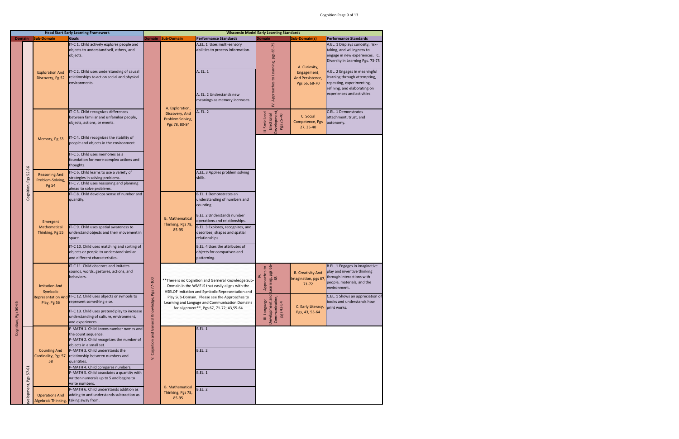| <b>Domain</b>        |            | <b>Sub-Domain</b>                                 |                                                                                                                           |                                             |                                                     |                                                                                                                                                             |                                                                 |                                                              |                                                                                                                                                           |
|----------------------|------------|---------------------------------------------------|---------------------------------------------------------------------------------------------------------------------------|---------------------------------------------|-----------------------------------------------------|-------------------------------------------------------------------------------------------------------------------------------------------------------------|-----------------------------------------------------------------|--------------------------------------------------------------|-----------------------------------------------------------------------------------------------------------------------------------------------------------|
|                      |            |                                                   | <b>Goals</b>                                                                                                              | Domain                                      | <b>Sub-Domain</b>                                   | <b>Performance Standards</b>                                                                                                                                | <b>Domain</b>                                                   | <b>Sub-Domain(s)</b>                                         | <b>Performance Standards</b>                                                                                                                              |
|                      |            |                                                   | IT-C 1. Child actively explores people and<br>objects to understand self, others, and<br>objects.                         |                                             |                                                     | A.EL. 1 Uses multi-sensory<br>abilities to process information.                                                                                             |                                                                 | A. Curiosity,                                                | A.EL. 1 Displays curiosity, risk-<br>taking, and willingness to<br>engage in new experiences. C.<br>Diversity in Learning Pgs. 73-75                      |
|                      |            | <b>Exploration And</b><br>Discovery, Pg 52        | IT-C 2. Child uses understanding of causal<br>relationships to act on social and physical<br>environments.                |                                             | A. Exploration,                                     | A. EL. 1<br>A. EL. 2 Understands new<br>meanings as memory increases.                                                                                       | IV. Approaches to Learning, pgs 65-75                           | Engagement,<br>And Persistence,<br>Pgs 66, 68-70             | A.EL. 2 Engages in meaningful<br>learning through attempting,<br>repeating, experimenting,<br>refining, and elaborating on<br>experiences and activities. |
|                      |            |                                                   | IT-C 3. Child recognizes differences<br>between familiar and unfamiliar people,<br>objects, actions, or events.           |                                             | Discovery, And<br>Problem Solving,<br>Pgs 78, 80-84 | A. EL. 2                                                                                                                                                    | Development,<br>Pgs 25-40<br>II. Social and<br>Emotional        | C. Social<br>Competence, Pgs<br>27, 35-40                    | C.EL. 1 Demonstrates<br>attachment, trust, and<br>autonomy.                                                                                               |
|                      |            | Memory, Pg 53                                     | IT-C 4. Child recognizes the stability of<br>people and objects in the environment.<br>IT-C 5. Child uses memories as a   |                                             |                                                     |                                                                                                                                                             |                                                                 |                                                              |                                                                                                                                                           |
|                      |            |                                                   | foundation for more complex actions and<br>thoughts.                                                                      |                                             |                                                     |                                                                                                                                                             |                                                                 |                                                              |                                                                                                                                                           |
| 52-56                |            | <b>Reasoning And</b>                              | IT-C 6. Child learns to use a variety of                                                                                  |                                             |                                                     | A.EL. 3 Applies problem solving                                                                                                                             |                                                                 |                                                              |                                                                                                                                                           |
|                      | Pgs        | Problem-Solving,                                  | strategies in solving problems.                                                                                           |                                             |                                                     | skills.                                                                                                                                                     |                                                                 |                                                              |                                                                                                                                                           |
|                      |            | Pg 54                                             | IT-C 7. Child uses reasoning and planning<br>ahead to solve problems.                                                     |                                             |                                                     |                                                                                                                                                             |                                                                 |                                                              |                                                                                                                                                           |
|                      |            |                                                   | IT-C 8. Child develops sense of number and                                                                                |                                             |                                                     | <b>B.EL. 1 Demonstrates an</b>                                                                                                                              |                                                                 |                                                              |                                                                                                                                                           |
|                      | Cognition, |                                                   | quantity.                                                                                                                 |                                             |                                                     | understanding of numbers and<br>counting.                                                                                                                   |                                                                 |                                                              |                                                                                                                                                           |
|                      |            | Emergent                                          |                                                                                                                           |                                             | <b>B.</b> Mathematical<br>Thinking, Pgs 78,         | B.EL. 2 Understands number<br>operations and relationships.                                                                                                 |                                                                 |                                                              |                                                                                                                                                           |
|                      |            | Mathematical<br>Thinking, Pg 55                   | IT-C 9. Child uses spatial awareness to<br>understand objects and their movement in<br>space.                             |                                             | 85-95                                               | B.EL. 3 Explores, recognizes, and<br>describes, shapes and spatial<br>relationships.                                                                        |                                                                 |                                                              |                                                                                                                                                           |
|                      |            |                                                   | IT-C 10. Child uses matching and sorting of<br>objects or people to understand similar<br>and different characteristics.  |                                             |                                                     | B.EL. 4 Uses the attributes of<br>objects for comparison and<br>patterning.                                                                                 |                                                                 |                                                              |                                                                                                                                                           |
|                      |            | <b>Imitation And</b><br>Symbolic                  | IT-C 11. Child observes and imitates<br>sounds, words, gestures, actions, and<br>behaviors.                               |                                             |                                                     | ** There is no Cognition and Gerneral Knowledge Sub-<br>Domain in the WMELS that easily aligns with the<br>HSELOF Imitation and Symbolic Representation and | es to<br>ags 66-<br>Approach<br>Learning, <sub>1</sub><br>68    | <b>B. Creativity And</b><br>Imagination, pgs 67<br>$71 - 72$ | B.EL. 1 Engages in imaginative<br>play and inventive thinking<br>through interactions with<br>people, materials, and the<br>environment.                  |
|                      |            | <b>Representation And</b><br>Play, Pg 56          | IT-C 12. Child uses objects or symbols to<br>represent something else.                                                    |                                             |                                                     | Play Sub-Domain. Please see the Approaches to<br>Learning and Languge and Communication Domains<br>for alignment**, Pgs 67, 71-72; 43,55-64                 |                                                                 | C. Early Literacy,                                           | C.EL. 1 Shows an appreciation of<br>books and understands how<br>print works.                                                                             |
| Cognition, Pgs 50-65 |            |                                                   | IT-C 13. Child uses pretend play to increase<br>understanding of culture, environment,<br>and experiences.                | Cognition and General Knowledge, Pgs 77-100 |                                                     |                                                                                                                                                             | Development and<br>Communication,<br>III. Language<br>pgs 42-54 | Pgs, 43, 55-64                                               |                                                                                                                                                           |
|                      |            |                                                   | P-MATH 1. Child knows number names and                                                                                    |                                             |                                                     | <b>B.EL. 1</b>                                                                                                                                              |                                                                 |                                                              |                                                                                                                                                           |
|                      |            |                                                   | the count sequence.<br>P-MATH 2. Child recognizes the number of<br>objects in a small set.                                |                                             |                                                     |                                                                                                                                                             |                                                                 |                                                              |                                                                                                                                                           |
|                      |            | <b>Counting And</b><br>Cardinality, Pgs 57-<br>58 | P-MATH 3. Child understands the<br>relationship between numbers and<br>quantities.                                        | Š.                                          |                                                     | <b>B.EL. 2</b>                                                                                                                                              |                                                                 |                                                              |                                                                                                                                                           |
| 57-61                | Pgs        |                                                   | P-MATH 4. Child compares numbers.<br>P-MATH 5. Child associates a quantity with<br>written numerals up to 5 and begins to |                                             |                                                     | <b>B.EL. 1</b>                                                                                                                                              |                                                                 |                                                              |                                                                                                                                                           |
|                      |            |                                                   | write numbers.                                                                                                            |                                             | <b>B.</b> Mathematical                              |                                                                                                                                                             |                                                                 |                                                              |                                                                                                                                                           |
| velopment,           |            | <b>Operations And</b>                             | P-MATH 6. Child understands addition as<br>adding to and understands subtraction as                                       |                                             | Thinking, Pgs 78,                                   | <b>B.EL. 2</b>                                                                                                                                              |                                                                 |                                                              |                                                                                                                                                           |
|                      |            | <b>Algebraic Thinking</b>                         | taking away from.                                                                                                         |                                             | 85-95                                               |                                                                                                                                                             |                                                                 |                                                              |                                                                                                                                                           |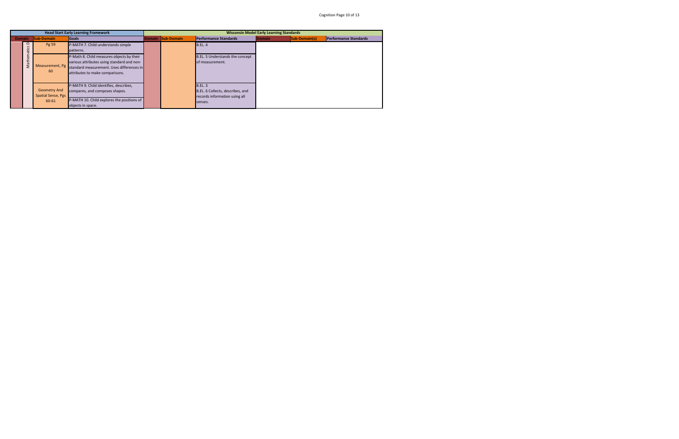|                                |                                                           |                                                                                                                                                                         |                   |                                                                                                |                                                 |               | Cognition Page 10 of 13      |
|--------------------------------|-----------------------------------------------------------|-------------------------------------------------------------------------------------------------------------------------------------------------------------------------|-------------------|------------------------------------------------------------------------------------------------|-------------------------------------------------|---------------|------------------------------|
|                                |                                                           | <b>Head Start Early Learning Framework</b>                                                                                                                              |                   |                                                                                                | <b>Wisconsin Model Early Learning Standards</b> |               |                              |
| <b>Domain</b>                  | <b>Sub-Domain</b>                                         | <b>Goals</b>                                                                                                                                                            | Domain Sub-Domain | <b>Performance Standards</b>                                                                   | <b>Domain</b>                                   | Sub-Domain(s) | <b>Performance Standards</b> |
| ≏<br>უ<br>ე                    | Pg 59                                                     | P-MATH 7. Child understands simple<br>patterns.                                                                                                                         |                   | <b>B.EL. 4</b>                                                                                 |                                                 |               |                              |
| <b>ithemation</b><br><b>SM</b> | Measurement, Pg<br>60                                     | P-Math 8. Child measures objects by their<br>various attributes using standard and non-<br>standard measurement. Uses differences in<br>attributes to make comparisons. |                   | B.EL. 5 Understands the concept<br>of measurement.                                             |                                                 |               |                              |
|                                | <b>Geometry And</b><br><b>Spatial Sense, Pgs</b><br>60-61 | P-MATH 9. Child identifies, describes,<br>compares, and composes shapes.<br>P-MATH 10. Child explores the positions of<br>objects in space.                             |                   | <b>B.EL. 3</b><br>B.EL. 6 Collects, describes, and<br>records information using all<br>senses. |                                                 |               |                              |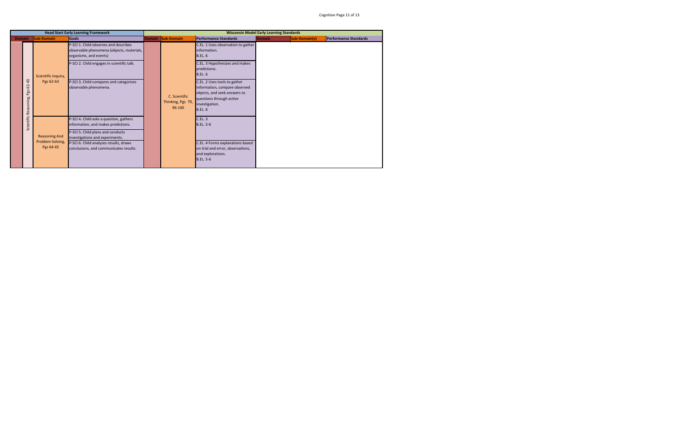|               |                                    |                                                       | <b>Head Start Early Learning Framework</b>                                                                                                                                                                                                 |                                              | <b>Wisconsin Model Early Learning Standards</b>                                                                                                               |        |               |                              |
|---------------|------------------------------------|-------------------------------------------------------|--------------------------------------------------------------------------------------------------------------------------------------------------------------------------------------------------------------------------------------------|----------------------------------------------|---------------------------------------------------------------------------------------------------------------------------------------------------------------|--------|---------------|------------------------------|
| <b>Domain</b> |                                    | <b>Sub-Domain</b>                                     | <b>Goals</b>                                                                                                                                                                                                                               | Domain Sub-Domain                            | <b>Performance Standards</b>                                                                                                                                  | Domain | Sub-Domain(s) | <b>Performance Standards</b> |
|               |                                    |                                                       | P-SCI 1. Child observes and describes<br>observable phenomena (objects, materials,<br>organisms, and events)                                                                                                                               |                                              | C.EL. 1 Uses observation to gather<br>information.<br><b>B.EL. 6</b>                                                                                          |        |               |                              |
|               |                                    | Scientific Inquiry,                                   | P-SCI 2. Child engages in scientific talk.                                                                                                                                                                                                 |                                              | C.EL. 3 Hypothesizes and makes<br>predictions.<br><b>B.EL. 6</b>                                                                                              |        |               |                              |
|               | Pgs 62-65<br>Scientific Reasoning, | Pgs 62-63                                             | P-SCI 3. Child compares and categorizes<br>observable phenomena.                                                                                                                                                                           | C. Scientific<br>Thinking, Pgs 79,<br>96-100 | C.EL. 2 Uses tools to gather<br>information, compare observed<br>objects, and seek answers to<br>questions through active<br>investigation.<br><b>B.EL. 6</b> |        |               |                              |
|               |                                    | <b>Reasoning And</b><br>Problem-Solving,<br>Pgs 64-65 | P-SCI 4. Child asks a question, gathers<br>information, and makes predictions.<br>P-SCI 5. Child plans and conducts<br>investigations and experiments.<br>P-SCI 6. Child analyzes results, draws<br>conclusions, and communicates results. |                                              | C.EL.3<br><b>B.EL. 5-6</b><br>C.EL. 4 Forms explanations based<br>on trial and error, observations,<br>and explorations.<br><b>B.EL. 5-6</b>                  |        |               |                              |
|               |                                    |                                                       |                                                                                                                                                                                                                                            |                                              |                                                                                                                                                               |        |               |                              |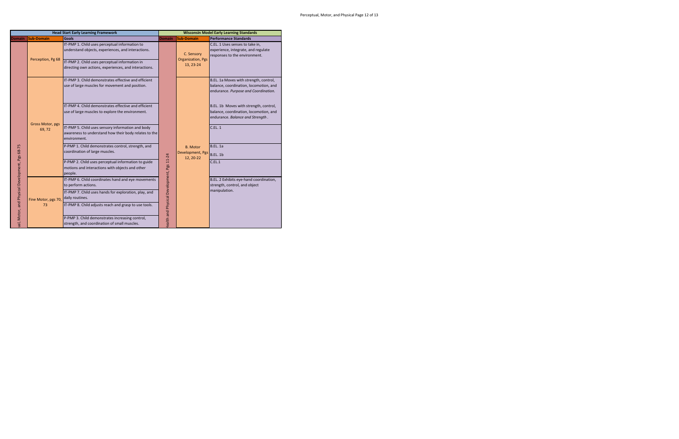|                                                 |                         | <b>Head Start Early Learning Framework</b>                                                                                                                                                                      |                                           |                                                      | <b>Wisconsin Model Early Learning Standards</b>                                                                          |
|-------------------------------------------------|-------------------------|-----------------------------------------------------------------------------------------------------------------------------------------------------------------------------------------------------------------|-------------------------------------------|------------------------------------------------------|--------------------------------------------------------------------------------------------------------------------------|
|                                                 | Domain Sub-Domain       | <b>Goals</b>                                                                                                                                                                                                    | <b>Domain</b>                             | <b>Sub-Domain</b>                                    | <b>Performance Standards</b>                                                                                             |
|                                                 | Perception, Pg 68       | IT-PMP 1. Child uses perceptual information to<br>understand objects, experiences, and interactions.<br>IT-PMP 2. Child uses perceptual information in<br>directing own actions, experiences, and interactions. |                                           | C. Sensory<br><b>Organization</b> , Pgs<br>13, 23-24 | C.EL. 1 Uses senses to take in,<br>experience, integrate, and regulate<br>responses to the environment.                  |
|                                                 |                         | IT-PMP 3. Child demonstrates effective and efficient<br>use of large muscles for movement and position.                                                                                                         |                                           |                                                      | B.EL. 1a Moves with strength, control,<br>balance, coordination, locomotion, and<br>endurance. Purpose and Coordination. |
|                                                 | <b>Gross Motor, pgs</b> | IT-PMP 4. Child demonstrates effective and efficient<br>use of large muscles to explore the environment.                                                                                                        |                                           |                                                      | B.EL. 1b Moves with strength, control,<br>balance, coordination, locomotion, and<br>endurance. Balance and Strength.     |
|                                                 | 69,72                   | IT-PMP 5. Child uses sensory information and body<br>awareness to understand how their body relates to the<br>environment.                                                                                      |                                           |                                                      | C.EL.1                                                                                                                   |
|                                                 |                         | P-PMP 1. Child demonstrates control, strength, and<br>coordination of large muscles.                                                                                                                            |                                           | <b>B.</b> Motor<br>Development, Pgs<br>12, 20-22     | <b>B.EL. 1a</b><br><b>B.EL. 1b</b>                                                                                       |
| ual, Motor, and Physical Development, Pgs 68-75 |                         | P-PMP 2. Child uses perceptual information to guide<br>motions and interactions with objects and other<br>people.                                                                                               | ealth and Physical Development, Pgs 11-24 |                                                      | C.EL.1                                                                                                                   |
|                                                 |                         | IT-PMP 6. Child coordinates hand and eye movements<br>to perform actions.                                                                                                                                       |                                           |                                                      | B.EL. 2 Exhibits eye-hand coordination,<br>strength, control, and object                                                 |
|                                                 | Fine Motor, pgs 70,     | IT-PMP 7. Child uses hands for exploration, play, and<br>daily routines.                                                                                                                                        |                                           |                                                      | manipulation.                                                                                                            |
|                                                 | 73                      | IT-PMP 8. Child adjusts reach and grasp to use tools.                                                                                                                                                           |                                           |                                                      |                                                                                                                          |
|                                                 |                         | P-PMP 3. Child demonstrates increasing control,<br>strength, and coordination of small muscles.                                                                                                                 |                                           |                                                      |                                                                                                                          |